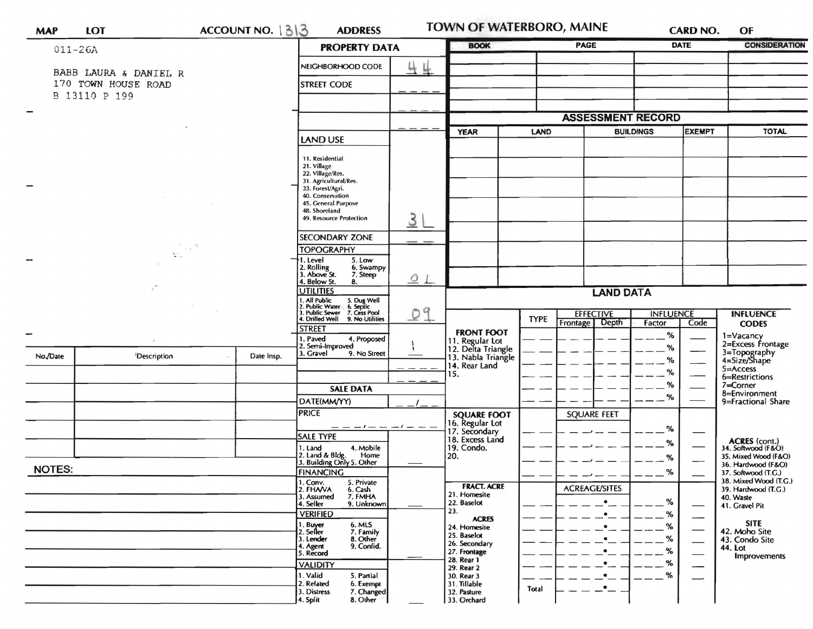| <b>MAP</b>               | <b>LOT</b>                                   |                             | ACCOUNT NO. 1313                                     | <b>ADDRESS</b>                                                                                                                |                             | <b>TOWN OF WATERBORO, MAINE</b>                                                     |                          |                        | <b>CARD NO.</b>                   |                          | OF                                           |  |
|--------------------------|----------------------------------------------|-----------------------------|------------------------------------------------------|-------------------------------------------------------------------------------------------------------------------------------|-----------------------------|-------------------------------------------------------------------------------------|--------------------------|------------------------|-----------------------------------|--------------------------|----------------------------------------------|--|
|                          | $011 - 26A$                                  |                             |                                                      | <b>PROPERTY DATA</b>                                                                                                          |                             | <b>BOOK</b>                                                                         |                          | <b>PAGE</b>            |                                   | <b>DATE</b>              | <b>CONSIDERATION</b>                         |  |
|                          |                                              |                             |                                                      | NEIGHBORHOOD CODE                                                                                                             | 44                          |                                                                                     |                          |                        |                                   |                          |                                              |  |
|                          | BABB LAURA & DANIEL R<br>170 TOWN HOUSE ROAD |                             |                                                      | <b>STREET CODE</b>                                                                                                            |                             |                                                                                     |                          |                        |                                   |                          |                                              |  |
|                          | B 13110 P 199                                |                             |                                                      |                                                                                                                               |                             |                                                                                     |                          |                        |                                   |                          |                                              |  |
| $\overline{\phantom{0}}$ |                                              |                             |                                                      |                                                                                                                               |                             |                                                                                     | <b>ASSESSMENT RECORD</b> |                        |                                   |                          |                                              |  |
|                          |                                              |                             |                                                      |                                                                                                                               |                             | <b>YEAR</b>                                                                         | <b>LAND</b>              |                        | <b>EXEMPT</b><br><b>BUILDINGS</b> |                          | <b>TOTAL</b>                                 |  |
|                          |                                              |                             |                                                      | LAND USE                                                                                                                      |                             |                                                                                     |                          |                        |                                   |                          |                                              |  |
|                          |                                              |                             |                                                      | 11. Residential<br>21. Village                                                                                                |                             |                                                                                     |                          |                        |                                   |                          |                                              |  |
|                          |                                              |                             |                                                      | 22. Village/Res.<br>31. Agricultural/Res.                                                                                     |                             |                                                                                     |                          |                        |                                   |                          |                                              |  |
|                          |                                              |                             |                                                      | 33. Forest/Agri.                                                                                                              |                             |                                                                                     |                          |                        |                                   |                          |                                              |  |
|                          |                                              |                             |                                                      | 40. Conservation<br>45. General Purpose                                                                                       |                             |                                                                                     |                          |                        |                                   |                          |                                              |  |
|                          |                                              |                             |                                                      | 48. Shoreland<br>49. Resource Protection                                                                                      | 3L                          |                                                                                     |                          |                        |                                   |                          |                                              |  |
|                          |                                              |                             |                                                      |                                                                                                                               |                             |                                                                                     |                          |                        |                                   |                          |                                              |  |
|                          |                                              | $\mathcal{F}_{\rm{max}}$ at |                                                      | SECONDARY ZONE                                                                                                                |                             |                                                                                     |                          |                        |                                   |                          |                                              |  |
|                          | $\mathcal{L}_{\text{max}}$                   |                             |                                                      | <b>TOPOGRAPHY</b><br>1. Level<br>5. Low                                                                                       |                             |                                                                                     |                          |                        |                                   |                          |                                              |  |
|                          |                                              |                             |                                                      | Rolling<br>Above St.<br>6. Swampy<br>7. Steep                                                                                 |                             |                                                                                     |                          |                        |                                   |                          |                                              |  |
|                          |                                              |                             |                                                      | . Below St.<br>8.<br><b>JTILITIES</b>                                                                                         | 01                          |                                                                                     |                          |                        |                                   |                          |                                              |  |
|                          |                                              |                             |                                                      |                                                                                                                               |                             | <b>LAND DATA</b>                                                                    |                          |                        |                                   |                          |                                              |  |
|                          |                                              |                             |                                                      | 1. All Public 5. Dug Well<br>1. All Public Vater 6. Septic<br>3. Public Sewer 7. Cess Pool<br>4. Drilled Well 9. No Utilities | 09                          |                                                                                     |                          | <b>EFFECTIVE</b>       | <b>INFLUENCE</b>                  |                          | <b>INFLUENCE</b>                             |  |
|                          |                                              |                             |                                                      | <b>STREET</b>                                                                                                                 |                             | <b>FRONT FOOT</b>                                                                   | <b>TYPE</b>              | Frontage Depth         | Factor                            | Code                     | <b>CODES</b>                                 |  |
|                          |                                              |                             |                                                      | I. Paved<br>4. Proposed<br>2. Semi-Improved                                                                                   |                             |                                                                                     |                          |                        | $\%$                              |                          | 1=Vacancy<br>2=Excess Frontage               |  |
| No./Date                 | Description                                  |                             | Date Insp.                                           | 3. Gravel<br>9. No Street                                                                                                     |                             | 11. Regular Lot<br>12. Delta Triangle<br>13. Nabla Triangle<br>14. Rear Land<br>15. |                          |                        | ℅<br>℅                            |                          | 3=Topography<br>4=Size/Shape                 |  |
|                          |                                              |                             |                                                      |                                                                                                                               |                             |                                                                                     |                          |                        | %                                 |                          | $5 =$ Access                                 |  |
|                          |                                              |                             |                                                      | <b>SALE DATA</b>                                                                                                              |                             |                                                                                     |                          |                        | %                                 |                          | 6=Restrictions<br>7=Corner                   |  |
|                          |                                              |                             |                                                      | DATE(MM/YY)                                                                                                                   |                             |                                                                                     |                          |                        | $\%$                              |                          | 8=Environment<br>9=Fractional Share          |  |
|                          |                                              |                             |                                                      | <b>PRICE</b>                                                                                                                  |                             | <b>SQUARE FOOT</b>                                                                  |                          | SQUARE FEET            |                                   |                          |                                              |  |
|                          |                                              |                             |                                                      |                                                                                                                               |                             | 16. Regular Lot<br>17. Secondary                                                    |                          |                        | %                                 |                          |                                              |  |
|                          |                                              |                             |                                                      | <b>SALE TYPE</b>                                                                                                              |                             | 18. Excess Land                                                                     |                          |                        | %                                 |                          | <b>ACRES</b> (cont.)                         |  |
|                          |                                              |                             |                                                      | 4. Mobile<br>1. Land<br>Home                                                                                                  |                             | 19. Condo.<br>20.                                                                   |                          |                        | %                                 |                          | 34. Softwood (F&O)<br>35. Mixed Wood (F&O)   |  |
| <b>NOTES:</b>            |                                              |                             |                                                      | 2. Land & Bldg. Home<br>3. Building Only 5. Other                                                                             |                             |                                                                                     |                          |                        |                                   |                          | 36. Hardwood (F&O)                           |  |
|                          |                                              |                             |                                                      | <b>FINANCING</b><br>1. Conv. 5. Private                                                                                       |                             |                                                                                     |                          |                        | %                                 |                          | 37. Softwood (T.G.)<br>38. Mixed Wood (T.G.) |  |
|                          |                                              |                             |                                                      | 2. FHAVA<br>6. Cash<br>3. Assumed<br>7. FMHA                                                                                  |                             | <b>FRACT. ACRE</b><br>21. Homesite                                                  |                          | <b>ACREAGE/SITES</b>   |                                   |                          | 39. Hardwood (T.G.)<br>40. Waste             |  |
|                          |                                              |                             |                                                      | 4. Seller<br>9. Unknown                                                                                                       |                             | 22. Baselot<br>23.                                                                  |                          | $\bullet$              | %                                 |                          | 41. Gravel Pit                               |  |
|                          |                                              |                             |                                                      | <b>VERIFIED</b><br>6. MLS                                                                                                     |                             | <b>ACRES</b>                                                                        |                          | $\bullet$<br>$\bullet$ | %<br>%                            |                          | <b>SITE</b>                                  |  |
|                          |                                              |                             |                                                      | 1. Buyer<br>2. Seller<br>7. Family<br>8. Other<br>3. Lender                                                                   |                             | 24. Homesite<br>25. Baselot                                                         |                          | $\bullet$              | %                                 |                          | 42. Moho Site<br>43. Condo Site              |  |
|                          |                                              |                             |                                                      | 9. Confid.<br>4. Agent<br>5. Record                                                                                           |                             | 26. Secondary<br>27. Frontage                                                       |                          | $\bullet$              | %                                 |                          | 44. Lot                                      |  |
|                          |                                              |                             |                                                      | <b>VALIDITY</b>                                                                                                               |                             | 28. Rear 1<br>29. Rear 2                                                            |                          | $\bullet$              | %                                 | —                        | Improvements                                 |  |
|                          |                                              |                             |                                                      | 1. Valid<br>5. Partial                                                                                                        |                             | 30. Rear 3                                                                          |                          | $\bullet$              | %                                 | $\overline{\phantom{0}}$ |                                              |  |
|                          |                                              |                             | 2. Related<br>6. Exempt<br>3. Distress<br>7. Changed |                                                                                                                               | 31. Tillable<br>32. Pasture | Total                                                                               | $\bullet$ $\_$           |                        |                                   |                          |                                              |  |
|                          |                                              |                             |                                                      | 4. Split<br>8. Other                                                                                                          |                             | 33. Orchard                                                                         |                          |                        |                                   |                          |                                              |  |